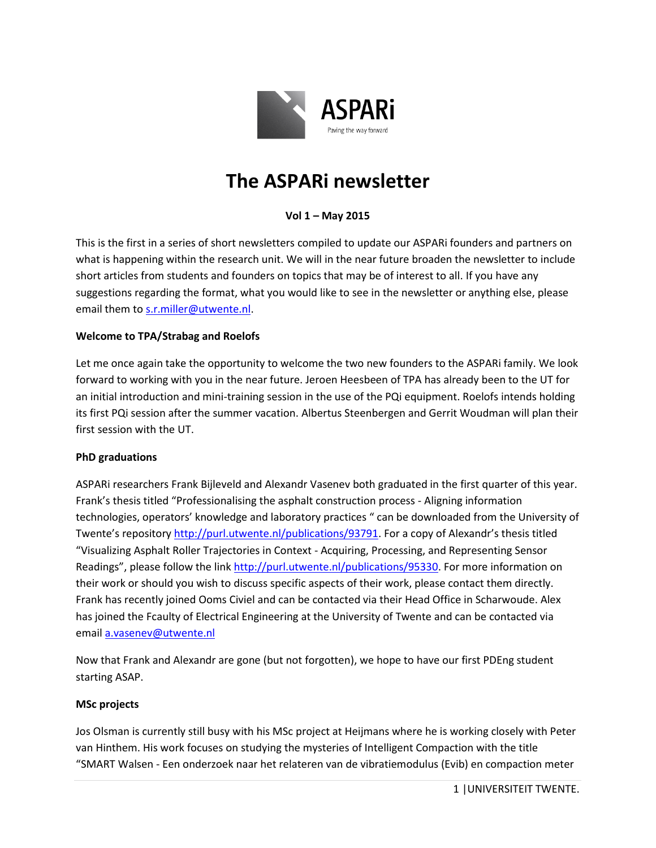

# **The ASPARi newsletter**

# **Vol 1 – May 2015**

This is the first in a series of short newsletters compiled to update our ASPARi founders and partners on what is happening within the research unit. We will in the near future broaden the newsletter to include short articles from students and founders on topics that may be of interest to all. If you have any suggestions regarding the format, what you would like to see in the newsletter or anything else, please email them to [s.r.miller@utwente.nl.](mailto:s.r.miller@utwente.nl)

#### **Welcome to TPA/Strabag and Roelofs**

Let me once again take the opportunity to welcome the two new founders to the ASPARi family. We look forward to working with you in the near future. Jeroen Heesbeen of TPA has already been to the UT for an initial introduction and mini-training session in the use of the PQi equipment. Roelofs intends holding its first PQi session after the summer vacation. Albertus Steenbergen and Gerrit Woudman will plan their first session with the UT.

#### **PhD graduations**

ASPARi researchers Frank Bijleveld and Alexandr Vasenev both graduated in the first quarter of this year. Frank's thesis titled "Professionalising the asphalt construction process - Aligning information technologies, operators' knowledge and laboratory practices " can be downloaded from the University of Twente's repositor[y http://purl.utwente.nl/publications/93791.](http://purl.utwente.nl/publications/93791) For a copy of Alexandr's thesis titled "Visualizing Asphalt Roller Trajectories in Context - Acquiring, Processing, and Representing Sensor Readings", please follow the link [http://purl.utwente.nl/publications/95330.](http://purl.utwente.nl/publications/95330) For more information on their work or should you wish to discuss specific aspects of their work, please contact them directly. Frank has recently joined Ooms Civiel and can be contacted via their Head Office in Scharwoude. Alex has joined the Fcaulty of Electrical Engineering at the University of Twente and can be contacted via email [a.vasenev@utwente.nl](mailto:a.vasenev@utwente.nl)

Now that Frank and Alexandr are gone (but not forgotten), we hope to have our first PDEng student starting ASAP.

#### **MSc projects**

Jos Olsman is currently still busy with his MSc project at Heijmans where he is working closely with Peter van Hinthem. His work focuses on studying the mysteries of Intelligent Compaction with the title "SMART Walsen - Een onderzoek naar het relateren van de vibratiemodulus (Evib) en compaction meter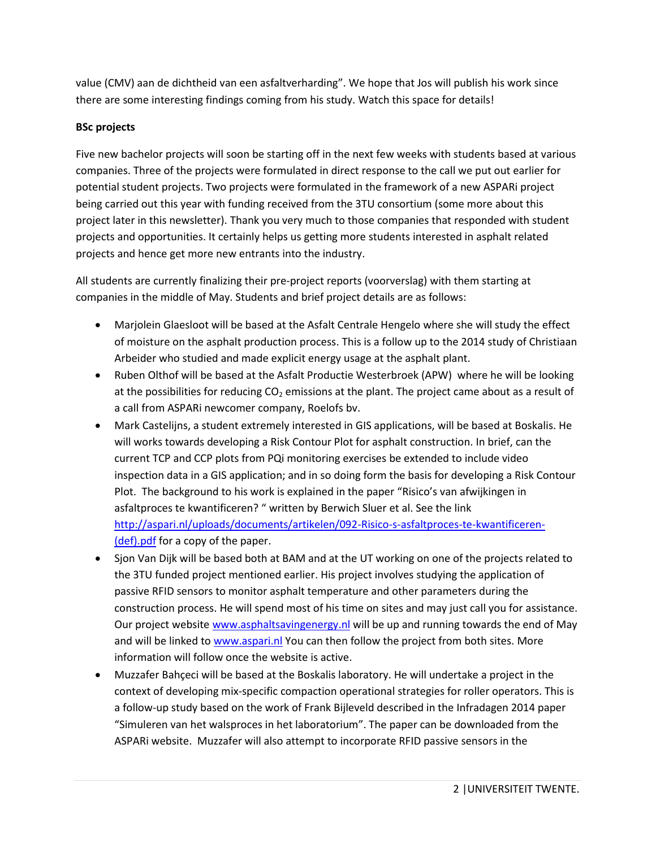value (CMV) aan de dichtheid van een asfaltverharding". We hope that Jos will publish his work since there are some interesting findings coming from his study. Watch this space for details!

# **BSc projects**

Five new bachelor projects will soon be starting off in the next few weeks with students based at various companies. Three of the projects were formulated in direct response to the call we put out earlier for potential student projects. Two projects were formulated in the framework of a new ASPARi project being carried out this year with funding received from the 3TU consortium (some more about this project later in this newsletter). Thank you very much to those companies that responded with student projects and opportunities. It certainly helps us getting more students interested in asphalt related projects and hence get more new entrants into the industry.

All students are currently finalizing their pre-project reports (voorverslag) with them starting at companies in the middle of May. Students and brief project details are as follows:

- Marjolein Glaesloot will be based at the Asfalt Centrale Hengelo where she will study the effect of moisture on the asphalt production process. This is a follow up to the 2014 study of Christiaan Arbeider who studied and made explicit energy usage at the asphalt plant.
- Ruben Olthof will be based at the Asfalt Productie Westerbroek (APW) where he will be looking at the possibilities for reducing  $CO<sub>2</sub>$  emissions at the plant. The project came about as a result of a call from ASPARi newcomer company, Roelofs bv.
- Mark Castelijns, a student extremely interested in GIS applications, will be based at Boskalis. He will works towards developing a Risk Contour Plot for asphalt construction. In brief, can the current TCP and CCP plots from PQi monitoring exercises be extended to include video inspection data in a GIS application; and in so doing form the basis for developing a Risk Contour Plot. The background to his work is explained in the paper "Risico's van afwijkingen in asfaltproces te kwantificeren? " written by Berwich Sluer et al. See the link [http://aspari.nl/uploads/documents/artikelen/092-Risico-s-asfaltproces-te-kwantificeren-](http://aspari.nl/uploads/documents/artikelen/092-Risico-s-asfaltproces-te-kwantificeren-(def).pdf) [\(def\).pdf](http://aspari.nl/uploads/documents/artikelen/092-Risico-s-asfaltproces-te-kwantificeren-(def).pdf) for a copy of the paper.
- Sjon Van Dijk will be based both at BAM and at the UT working on one of the projects related to the 3TU funded project mentioned earlier. His project involves studying the application of passive RFID sensors to monitor asphalt temperature and other parameters during the construction process. He will spend most of his time on sites and may just call you for assistance. Our project website [www.asphaltsavingenergy.nl](http://www.asphaltsavingenergy.nl/) will be up and running towards the end of May and will be linked to [www.aspari.nl](http://www.aspari.nl/) You can then follow the project from both sites. More information will follow once the website is active.
- Muzzafer Bahçeci will be based at the Boskalis laboratory. He will undertake a project in the context of developing mix-specific compaction operational strategies for roller operators. This is a follow-up study based on the work of Frank Bijleveld described in the Infradagen 2014 paper "Simuleren van het walsproces in het laboratorium". The paper can be downloaded from the ASPARi website. Muzzafer will also attempt to incorporate RFID passive sensors in the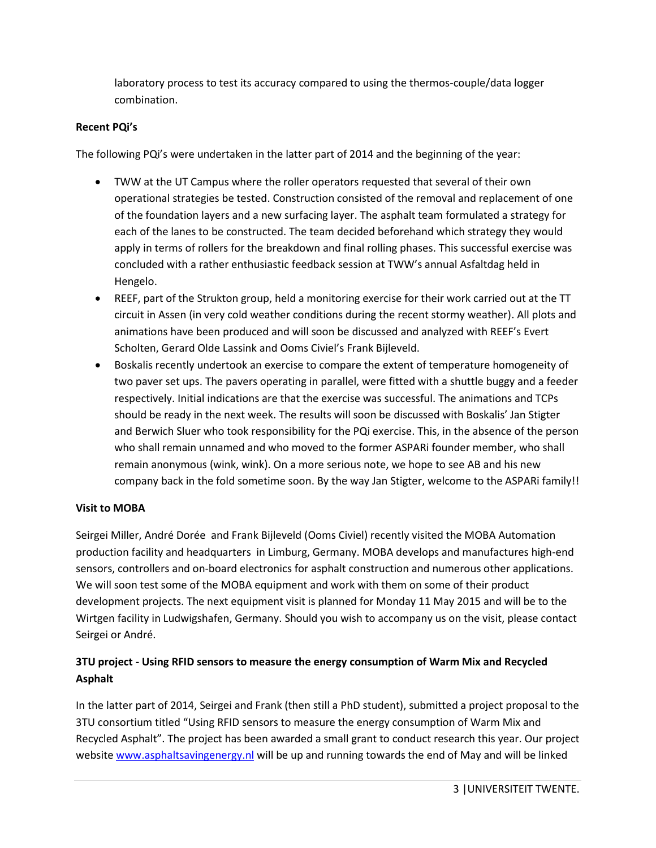laboratory process to test its accuracy compared to using the thermos-couple/data logger combination.

### **Recent PQi's**

The following PQi's were undertaken in the latter part of 2014 and the beginning of the year:

- TWW at the UT Campus where the roller operators requested that several of their own operational strategies be tested. Construction consisted of the removal and replacement of one of the foundation layers and a new surfacing layer. The asphalt team formulated a strategy for each of the lanes to be constructed. The team decided beforehand which strategy they would apply in terms of rollers for the breakdown and final rolling phases. This successful exercise was concluded with a rather enthusiastic feedback session at TWW's annual Asfaltdag held in Hengelo.
- REEF, part of the Strukton group, held a monitoring exercise for their work carried out at the TT circuit in Assen (in very cold weather conditions during the recent stormy weather). All plots and animations have been produced and will soon be discussed and analyzed with REEF's Evert Scholten, Gerard Olde Lassink and Ooms Civiel's Frank Bijleveld.
- Boskalis recently undertook an exercise to compare the extent of temperature homogeneity of two paver set ups. The pavers operating in parallel, were fitted with a shuttle buggy and a feeder respectively. Initial indications are that the exercise was successful. The animations and TCPs should be ready in the next week. The results will soon be discussed with Boskalis' Jan Stigter and Berwich Sluer who took responsibility for the PQi exercise. This, in the absence of the person who shall remain unnamed and who moved to the former ASPARi founder member, who shall remain anonymous (wink, wink). On a more serious note, we hope to see AB and his new company back in the fold sometime soon. By the way Jan Stigter, welcome to the ASPARi family!!

#### **Visit to MOBA**

Seirgei Miller, André Dorée and Frank Bijleveld (Ooms Civiel) recently visited the MOBA Automation production facility and headquarters in Limburg, Germany. MOBA develops and manufactures high-end sensors, controllers and on-board electronics for asphalt construction and numerous other applications. We will soon test some of the MOBA equipment and work with them on some of their product development projects. The next equipment visit is planned for Monday 11 May 2015 and will be to the Wirtgen facility in Ludwigshafen, Germany. Should you wish to accompany us on the visit, please contact Seirgei or André.

# **3TU project - Using RFID sensors to measure the energy consumption of Warm Mix and Recycled Asphalt**

In the latter part of 2014, Seirgei and Frank (then still a PhD student), submitted a project proposal to the 3TU consortium titled "Using RFID sensors to measure the energy consumption of Warm Mix and Recycled Asphalt". The project has been awarded a small grant to conduct research this year. Our project website [www.asphaltsavingenergy.nl](http://www.asphaltsavingenergy.nl/) will be up and running towards the end of May and will be linked